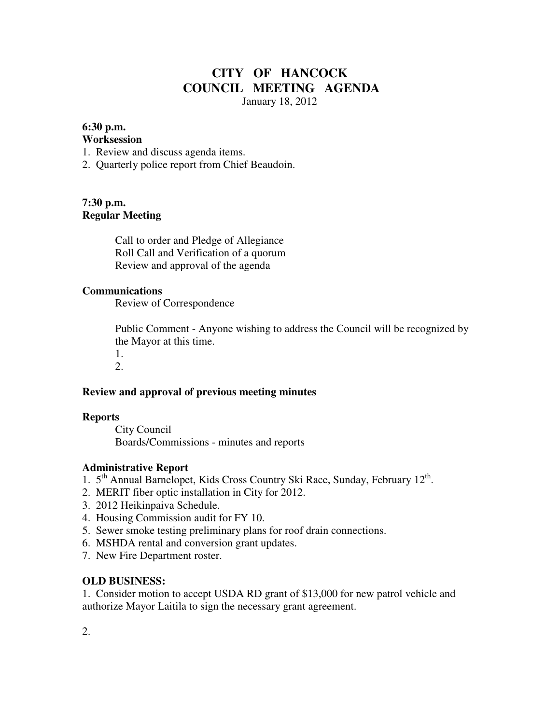# **CITY OF HANCOCK COUNCIL MEETING AGENDA**

January 18, 2012

### **6:30 p.m.**

### **Worksession**

- 1. Review and discuss agenda items.
- 2. Quarterly police report from Chief Beaudoin.

### **7:30 p.m. Regular Meeting**

 Call to order and Pledge of Allegiance Roll Call and Verification of a quorum Review and approval of the agenda

### **Communications**

Review of Correspondence

 Public Comment - Anyone wishing to address the Council will be recognized by the Mayor at this time.

 1. 2.

# **Review and approval of previous meeting minutes**

### **Reports**

City Council Boards/Commissions - minutes and reports

### **Administrative Report**

- 1. 5<sup>th</sup> Annual Barnelopet, Kids Cross Country Ski Race, Sunday, February 12<sup>th</sup>.
- 2. MERIT fiber optic installation in City for 2012.
- 3. 2012 Heikinpaiva Schedule.
- 4. Housing Commission audit for FY 10.
- 5. Sewer smoke testing preliminary plans for roof drain connections.
- 6. MSHDA rental and conversion grant updates.
- 7. New Fire Department roster.

## **OLD BUSINESS:**

1. Consider motion to accept USDA RD grant of \$13,000 for new patrol vehicle and authorize Mayor Laitila to sign the necessary grant agreement.